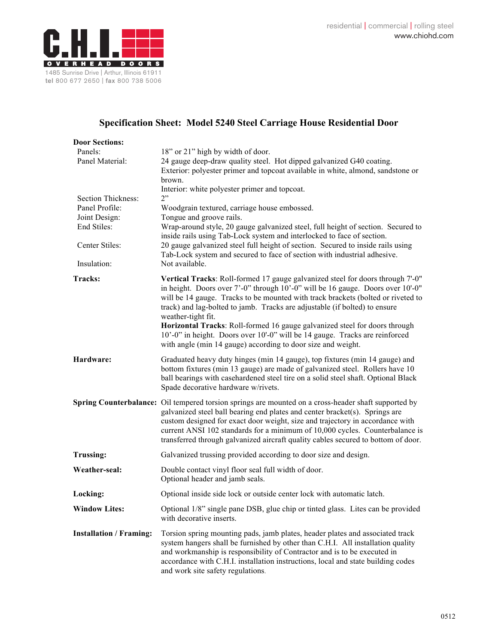

## **Specification Sheet: Model 5240 Steel Carriage House Residential Door**

| <b>Door Sections:</b>          |                                                                                                                                                                                                                                                                                                                                                                                                                                           |
|--------------------------------|-------------------------------------------------------------------------------------------------------------------------------------------------------------------------------------------------------------------------------------------------------------------------------------------------------------------------------------------------------------------------------------------------------------------------------------------|
| Panels:                        | 18" or 21" high by width of door.                                                                                                                                                                                                                                                                                                                                                                                                         |
| Panel Material:                | 24 gauge deep-draw quality steel. Hot dipped galvanized G40 coating.                                                                                                                                                                                                                                                                                                                                                                      |
|                                | Exterior: polyester primer and topcoat available in white, almond, sandstone or                                                                                                                                                                                                                                                                                                                                                           |
|                                | brown.<br>Interior: white polyester primer and topcoat.                                                                                                                                                                                                                                                                                                                                                                                   |
| Section Thickness:             | 2"                                                                                                                                                                                                                                                                                                                                                                                                                                        |
| Panel Profile:                 | Woodgrain textured, carriage house embossed.                                                                                                                                                                                                                                                                                                                                                                                              |
| Joint Design:                  | Tongue and groove rails.                                                                                                                                                                                                                                                                                                                                                                                                                  |
| End Stiles:                    | Wrap-around style, 20 gauge galvanized steel, full height of section. Secured to                                                                                                                                                                                                                                                                                                                                                          |
|                                | inside rails using Tab-Lock system and interlocked to face of section.                                                                                                                                                                                                                                                                                                                                                                    |
| Center Stiles:                 | 20 gauge galvanized steel full height of section. Secured to inside rails using                                                                                                                                                                                                                                                                                                                                                           |
|                                | Tab-Lock system and secured to face of section with industrial adhesive.                                                                                                                                                                                                                                                                                                                                                                  |
| Insulation:                    | Not available.                                                                                                                                                                                                                                                                                                                                                                                                                            |
| <b>Tracks:</b>                 | Vertical Tracks: Roll-formed 17 gauge galvanized steel for doors through 7'-0"<br>in height. Doors over 7'-0" through 10'-0" will be 16 gauge. Doors over 10'-0"<br>will be 14 gauge. Tracks to be mounted with track brackets (bolted or riveted to<br>track) and lag-bolted to jamb. Tracks are adjustable (if bolted) to ensure<br>weather-tight fit.                                                                                  |
|                                | Horizontal Tracks: Roll-formed 16 gauge galvanized steel for doors through<br>10'-0" in height. Doors over 10'-0" will be 14 gauge. Tracks are reinforced<br>with angle (min 14 gauge) according to door size and weight.                                                                                                                                                                                                                 |
| Hardware:                      | Graduated heavy duty hinges (min 14 gauge), top fixtures (min 14 gauge) and<br>bottom fixtures (min 13 gauge) are made of galvanized steel. Rollers have 10<br>ball bearings with casehardened steel tire on a solid steel shaft. Optional Black<br>Spade decorative hardware w/rivets.                                                                                                                                                   |
|                                | Spring Counterbalance: Oil tempered torsion springs are mounted on a cross-header shaft supported by<br>galvanized steel ball bearing end plates and center bracket(s). Springs are<br>custom designed for exact door weight, size and trajectory in accordance with<br>current ANSI 102 standards for a minimum of 10,000 cycles. Counterbalance is<br>transferred through galvanized aircraft quality cables secured to bottom of door. |
| <b>Trussing:</b>               | Galvanized trussing provided according to door size and design.                                                                                                                                                                                                                                                                                                                                                                           |
| Weather-seal:                  | Double contact vinyl floor seal full width of door.<br>Optional header and jamb seals.                                                                                                                                                                                                                                                                                                                                                    |
| Locking:                       | Optional inside side lock or outside center lock with automatic latch.                                                                                                                                                                                                                                                                                                                                                                    |
| <b>Window Lites:</b>           | Optional 1/8" single pane DSB, glue chip or tinted glass. Lites can be provided<br>with decorative inserts.                                                                                                                                                                                                                                                                                                                               |
| <b>Installation / Framing:</b> | Torsion spring mounting pads, jamb plates, header plates and associated track<br>system hangers shall be furnished by other than C.H.I. All installation quality<br>and workmanship is responsibility of Contractor and is to be executed in<br>accordance with C.H.I. installation instructions, local and state building codes<br>and work site safety regulations.                                                                     |